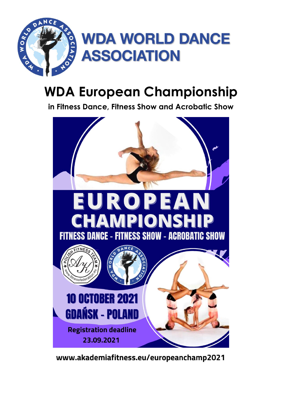

# **WDA European Championship**

**in Fitness Dance, Fitness Show and Acrobatic Show**



www.akademiafitness.eu/europeanchamp2021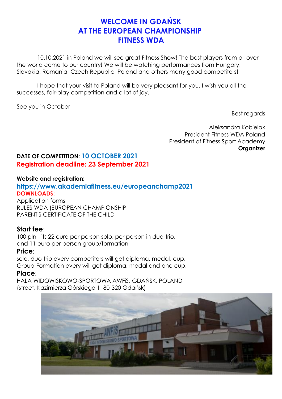## **WELCOME IN GDAŃSK AT THE EUROPEAN CHAMPIONSHIP FITNESS WDA**

10.10.2021 in Poland we will see great Fitness Show! The best players from all over the world come to our country! We will be watching performances from Hungary, Slovakia, Romania, Czech Republic, Poland and others many good competitors!

 I hope that your visit to Poland will be very pleasant for you. I wish you all the successes, fair-play competition and a lot of joy.

See you in October

Best regards

Aleksandra Kobielak President Fitness WDA Poland President of Fitness Sport Academy **Organizer** 

## **DATE OF COMPETITION: 10 OCTOBER 2021 Registration deadline: 23 September 2021**

#### **Website and registration:**

## **https://www.akademiafitness.eu/europeanchamp2021 DOWNLOADS:**

Application forms RULES WDA (EUROPEAN CHAMPIONSHIP PARENT'S CERTIFICATE OF THE CHILD

### **Start fee**:

100 pln - its 22 euro per person solo, per person in duo-trio, and 11 euro per person group/formation

### **Price:**

solo, duo-trio every competitors will get diploma, medal, cup. Group-Formation every will get diploma, medal and one cup.

#### **Place**:

HALA WIDOWISKOWO-SPORTOWA AWFiS, GDAŃSK, POLAND (street. Kazimierza Górskiego 1, 80-320 Gdańsk)